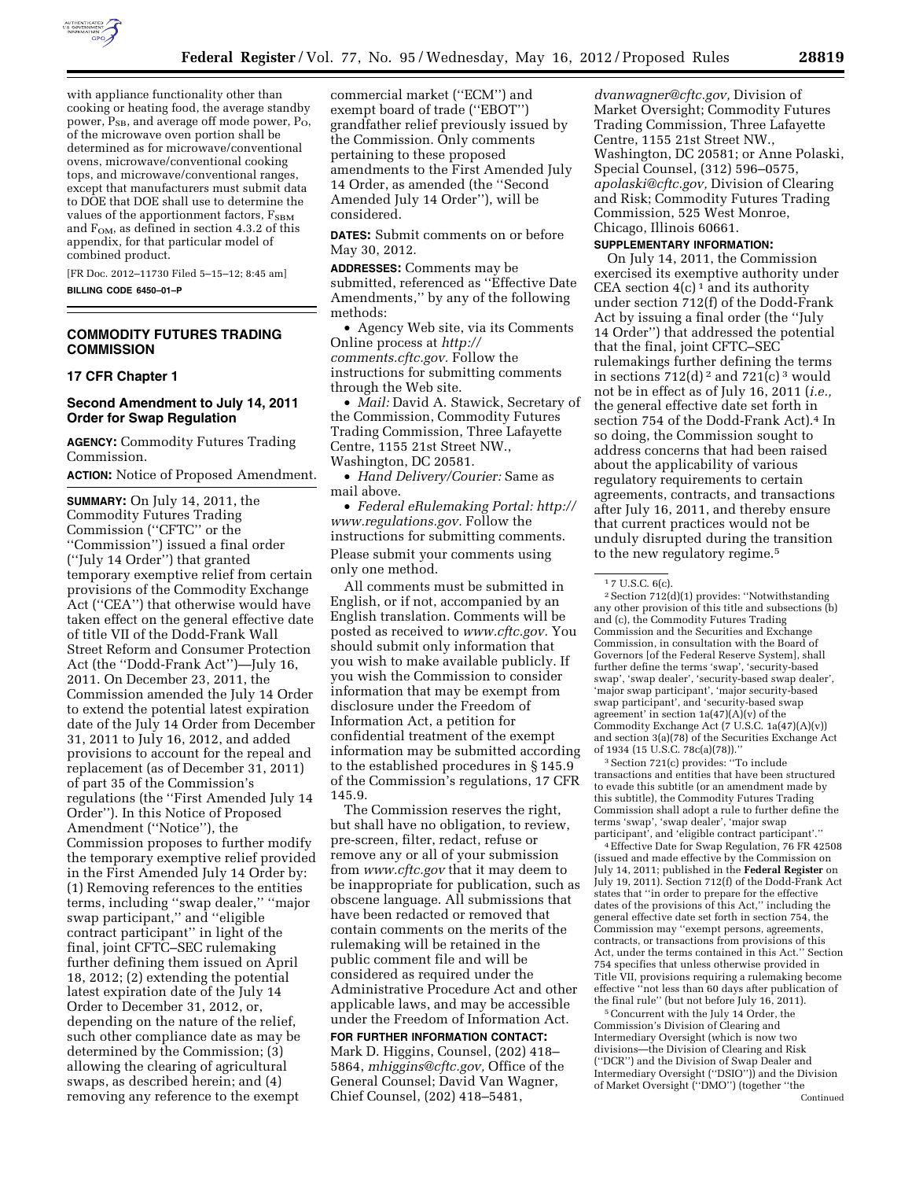

with appliance functionality other than cooking or heating food, the average standby power, P<sub>SB</sub>, and average off mode power, P<sub>O</sub>, of the microwave oven portion shall be determined as for microwave/conventional ovens, microwave/conventional cooking tops, and microwave/conventional ranges, except that manufacturers must submit data to DOE that DOE shall use to determine the values of the apportionment factors,  $F_{SBM}$ and  $F<sub>OM</sub>$ , as defined in section 4.3.2 of this appendix, for that particular model of combined product.

[FR Doc. 2012–11730 Filed 5–15–12; 8:45 am] **BILLING CODE 6450–01–P** 

### **COMMODITY FUTURES TRADING COMMISSION**

#### **17 CFR Chapter 1**

## **Second Amendment to July 14, 2011 Order for Swap Regulation**

**AGENCY:** Commodity Futures Trading Commission.

**ACTION:** Notice of Proposed Amendment.

**SUMMARY:** On July 14, 2011, the Commodity Futures Trading Commission (''CFTC'' or the ''Commission'') issued a final order (''July 14 Order'') that granted temporary exemptive relief from certain provisions of the Commodity Exchange Act (''CEA'') that otherwise would have taken effect on the general effective date of title VII of the Dodd-Frank Wall Street Reform and Consumer Protection Act (the ''Dodd-Frank Act'')—July 16, 2011. On December 23, 2011, the Commission amended the July 14 Order to extend the potential latest expiration date of the July 14 Order from December 31, 2011 to July 16, 2012, and added provisions to account for the repeal and replacement (as of December 31, 2011) of part 35 of the Commission's regulations (the ''First Amended July 14 Order''). In this Notice of Proposed Amendment (''Notice''), the Commission proposes to further modify the temporary exemptive relief provided in the First Amended July 14 Order by: (1) Removing references to the entities terms, including ''swap dealer,'' ''major swap participant,'' and ''eligible contract participant'' in light of the final, joint CFTC–SEC rulemaking further defining them issued on April 18, 2012; (2) extending the potential latest expiration date of the July 14 Order to December 31, 2012, or, depending on the nature of the relief, such other compliance date as may be determined by the Commission; (3) allowing the clearing of agricultural swaps, as described herein; and (4) removing any reference to the exempt

commercial market (''ECM'') and exempt board of trade (''EBOT'') grandfather relief previously issued by the Commission. Only comments pertaining to these proposed amendments to the First Amended July 14 Order, as amended (the ''Second Amended July 14 Order''), will be considered.

**DATES:** Submit comments on or before May 30, 2012.

**ADDRESSES:** Comments may be submitted, referenced as ''Effective Date Amendments,'' by any of the following methods:

• Agency Web site, via its Comments Online process at *[http://](http://comments.cftc.gov)  [comments.cftc.gov.](http://comments.cftc.gov)* Follow the instructions for submitting comments through the Web site.

• *Mail:* David A. Stawick, Secretary of the Commission, Commodity Futures Trading Commission, Three Lafayette Centre, 1155 21st Street NW., Washington, DC 20581.

• *Hand Delivery/Courier:* Same as mail above.

• *Federal eRulemaking Portal: [http://](http://www.regulations.gov)  [www.regulations.gov.](http://www.regulations.gov)* Follow the instructions for submitting comments. Please submit your comments using only one method.

All comments must be submitted in English, or if not, accompanied by an English translation. Comments will be posted as received to *[www.cftc.gov.](http://www.cftc.gov)* You should submit only information that you wish to make available publicly. If you wish the Commission to consider information that may be exempt from disclosure under the Freedom of Information Act, a petition for confidential treatment of the exempt information may be submitted according to the established procedures in § 145.9 of the Commission's regulations, 17 CFR 145.9.

The Commission reserves the right, but shall have no obligation, to review, pre-screen, filter, redact, refuse or remove any or all of your submission from *[www.cftc.gov](http://www.cftc.gov)* that it may deem to be inappropriate for publication, such as obscene language. All submissions that have been redacted or removed that contain comments on the merits of the rulemaking will be retained in the public comment file and will be considered as required under the Administrative Procedure Act and other applicable laws, and may be accessible under the Freedom of Information Act.

# **FOR FURTHER INFORMATION CONTACT:**

Mark D. Higgins, Counsel, (202) 418– 5864, *[mhiggins@cftc.gov,](mailto:mhiggins@cftc.gov)* Office of the General Counsel; David Van Wagner, Chief Counsel, (202) 418–5481,

*[dvanwagner@cftc.gov,](mailto:dvanwagner@cftc.gov)* Division of Market Oversight; Commodity Futures Trading Commission, Three Lafayette Centre, 1155 21st Street NW., Washington, DC 20581; or Anne Polaski, Special Counsel, (312) 596–0575, *[apolaski@cftc.gov,](mailto:apolaski@cftc.gov)* Division of Clearing and Risk; Commodity Futures Trading Commission, 525 West Monroe, Chicago, Illinois 60661.

## **SUPPLEMENTARY INFORMATION:**

On July 14, 2011, the Commission exercised its exemptive authority under CEA section  $4(c)$ <sup>1</sup> and its authority under section 712(f) of the Dodd-Frank Act by issuing a final order (the ''July 14 Order'') that addressed the potential that the final, joint CFTC–SEC rulemakings further defining the terms in sections  $712(d)^2$  and  $721(c)^3$  would not be in effect as of July 16, 2011 (*i.e.,*  the general effective date set forth in section 754 of the Dodd-Frank Act).4 In so doing, the Commission sought to address concerns that had been raised about the applicability of various regulatory requirements to certain agreements, contracts, and transactions after July 16, 2011, and thereby ensure that current practices would not be unduly disrupted during the transition to the new regulatory regime.<sup>5</sup>

2Section 712(d)(1) provides: ''Notwithstanding any other provision of this title and subsections (b) and (c), the Commodity Futures Trading Commission and the Securities and Exchange Commission, in consultation with the Board of Governors [of the Federal Reserve System], shall further define the terms 'swap', 'security-based swap', 'swap dealer', 'security-based swap dealer', 'major swap participant', 'major security-based swap participant', and 'security-based swap agreement' in section  $1a(47)(A)(v)$  of the Commodity Exchange Act (7 U.S.C. 1a(47)(A)(v)) and section 3(a)(78) of the Securities Exchange Act of 1934 (15 U.S.C. 78c(a)(78)).''

3Section 721(c) provides: ''To include transactions and entities that have been structured to evade this subtitle (or an amendment made by this subtitle), the Commodity Futures Trading Commission shall adopt a rule to further define the terms 'swap', 'swap dealer', 'major swap participant', and 'eligible contract participant'.''

4Effective Date for Swap Regulation, 76 FR 42508 (issued and made effective by the Commission on July 14, 2011; published in the **Federal Register** on July 19, 2011). Section 712(f) of the Dodd-Frank Act states that ''in order to prepare for the effective dates of the provisions of this Act,'' including the general effective date set forth in section 754, the Commission may ''exempt persons, agreements, contracts, or transactions from provisions of this Act, under the terms contained in this Act.'' Section 754 specifies that unless otherwise provided in Title VII, provisions requiring a rulemaking become effective ''not less than 60 days after publication of the final rule'' (but not before July 16, 2011).

5Concurrent with the July 14 Order, the Commission's Division of Clearing and Intermediary Oversight (which is now two divisions—the Division of Clearing and Risk (''DCR'') and the Division of Swap Dealer and Intermediary Oversight (''DSIO'')) and the Division of Market Oversight (''DMO'') (together ''the Continued

<sup>1</sup> 7 U.S.C. 6(c).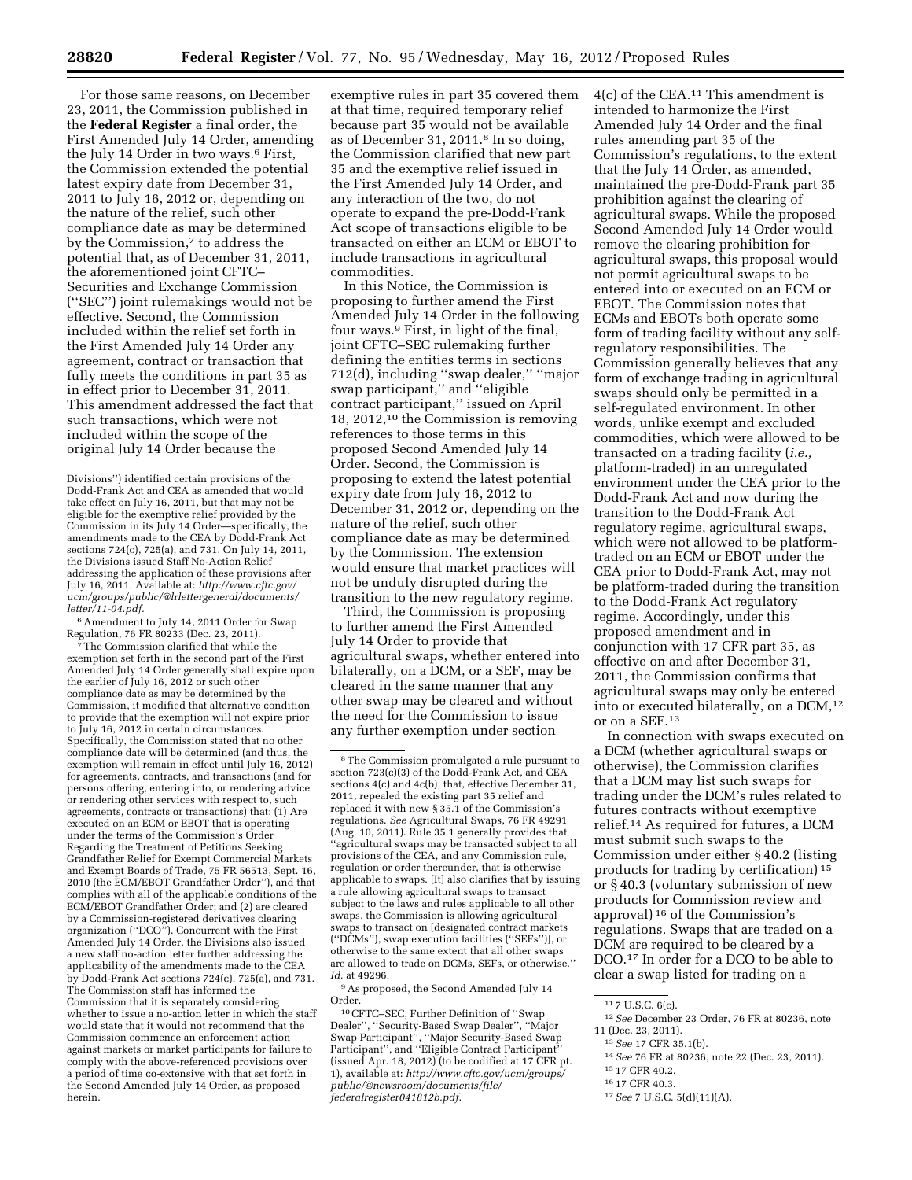For those same reasons, on December 23, 2011, the Commission published in the **Federal Register** a final order, the First Amended July 14 Order, amending the July 14 Order in two ways.6 First, the Commission extended the potential latest expiry date from December 31, 2011 to July 16, 2012 or, depending on the nature of the relief, such other compliance date as may be determined by the Commission,<sup>7</sup> to address the potential that, as of December 31, 2011, the aforementioned joint CFTC– Securities and Exchange Commission (''SEC'') joint rulemakings would not be effective. Second, the Commission included within the relief set forth in the First Amended July 14 Order any agreement, contract or transaction that fully meets the conditions in part 35 as in effect prior to December 31, 2011. This amendment addressed the fact that such transactions, which were not included within the scope of the original July 14 Order because the

6Amendment to July 14, 2011 Order for Swap Regulation, 76 FR 80233 (Dec. 23, 2011).

7The Commission clarified that while the exemption set forth in the second part of the First Amended July 14 Order generally shall expire upon the earlier of July 16, 2012 or such other compliance date as may be determined by the Commission, it modified that alternative condition to provide that the exemption will not expire prior to July 16, 2012 in certain circumstances. Specifically, the Commission stated that no other compliance date will be determined (and thus, the exemption will remain in effect until July 16, 2012) for agreements, contracts, and transactions (and for persons offering, entering into, or rendering advice or rendering other services with respect to, such agreements, contracts or transactions) that: (1) Are executed on an ECM or EBOT that is operating under the terms of the Commission's Order Regarding the Treatment of Petitions Seeking Grandfather Relief for Exempt Commercial Markets and Exempt Boards of Trade, 75 FR 56513, Sept. 16, 2010 (the ECM/EBOT Grandfather Order''), and that complies with all of the applicable conditions of the ECM/EBOT Grandfather Order; and (2) are cleared by a Commission-registered derivatives clearing organization (''DCO''). Concurrent with the First Amended July 14 Order, the Divisions also issued a new staff no-action letter further addressing the applicability of the amendments made to the CEA by Dodd-Frank Act sections 724(c), 725(a), and 731. The Commission staff has informed the Commission that it is separately considering whether to issue a no-action letter in which the staff would state that it would not recommend that the Commission commence an enforcement action against markets or market participants for failure to comply with the above-referenced provisions over a period of time co-extensive with that set forth in the Second Amended July 14 Order, as proposed herein.

exemptive rules in part 35 covered them at that time, required temporary relief because part 35 would not be available as of December 31, 2011.8 In so doing, the Commission clarified that new part 35 and the exemptive relief issued in the First Amended July 14 Order, and any interaction of the two, do not operate to expand the pre-Dodd-Frank Act scope of transactions eligible to be transacted on either an ECM or EBOT to include transactions in agricultural commodities.

In this Notice, the Commission is proposing to further amend the First Amended July 14 Order in the following four ways.9 First, in light of the final, joint CFTC–SEC rulemaking further defining the entities terms in sections 712(d), including ''swap dealer,'' ''major swap participant,'' and ''eligible contract participant,'' issued on April 18, 2012,10 the Commission is removing references to those terms in this proposed Second Amended July 14 Order. Second, the Commission is proposing to extend the latest potential expiry date from July 16, 2012 to December 31, 2012 or, depending on the nature of the relief, such other compliance date as may be determined by the Commission. The extension would ensure that market practices will not be unduly disrupted during the transition to the new regulatory regime.

Third, the Commission is proposing to further amend the First Amended July 14 Order to provide that agricultural swaps, whether entered into bilaterally, on a DCM, or a SEF, may be cleared in the same manner that any other swap may be cleared and without the need for the Commission to issue any further exemption under section

9As proposed, the Second Amended July 14 Order.

10CFTC–SEC, Further Definition of ''Swap Dealer'', ''Security-Based Swap Dealer'', ''Major Swap Participant'', ''Major Security-Based Swap Participant'', and ''Eligible Contract Participant'' (issued Apr. 18, 2012) (to be codified at 17 CFR pt. 1), available at: *[http://www.cftc.gov/ucm/groups/](http://www.cftc.gov/ucm/groups/public/@newsroom/documents/file/federalregister041812b.pdf)  [public/@newsroom/documents/file/](http://www.cftc.gov/ucm/groups/public/@newsroom/documents/file/federalregister041812b.pdf)  federalregister041812b.pdf*.

4(c) of the CEA.11 This amendment is intended to harmonize the First Amended July 14 Order and the final rules amending part 35 of the Commission's regulations, to the extent that the July 14 Order, as amended, maintained the pre-Dodd-Frank part 35 prohibition against the clearing of agricultural swaps. While the proposed Second Amended July 14 Order would remove the clearing prohibition for agricultural swaps, this proposal would not permit agricultural swaps to be entered into or executed on an ECM or EBOT. The Commission notes that ECMs and EBOTs both operate some form of trading facility without any selfregulatory responsibilities. The Commission generally believes that any form of exchange trading in agricultural swaps should only be permitted in a self-regulated environment. In other words, unlike exempt and excluded commodities, which were allowed to be transacted on a trading facility (*i.e.,*  platform-traded) in an unregulated environment under the CEA prior to the Dodd-Frank Act and now during the transition to the Dodd-Frank Act regulatory regime, agricultural swaps, which were not allowed to be platformtraded on an ECM or EBOT under the CEA prior to Dodd-Frank Act, may not be platform-traded during the transition to the Dodd-Frank Act regulatory regime. Accordingly, under this proposed amendment and in conjunction with 17 CFR part 35, as effective on and after December 31, 2011, the Commission confirms that agricultural swaps may only be entered into or executed bilaterally, on a DCM,12 or on a SEF.13

In connection with swaps executed on a DCM (whether agricultural swaps or otherwise), the Commission clarifies that a DCM may list such swaps for trading under the DCM's rules related to futures contracts without exemptive relief.14 As required for futures, a DCM must submit such swaps to the Commission under either § 40.2 (listing products for trading by certification) 15 or § 40.3 (voluntary submission of new products for Commission review and approval) 16 of the Commission's regulations. Swaps that are traded on a DCM are required to be cleared by a DCO.17 In order for a DCO to be able to clear a swap listed for trading on a

17*See* 7 U.S.C. 5(d)(11)(A).

Divisions'') identified certain provisions of the Dodd-Frank Act and CEA as amended that would take effect on July 16, 2011, but that may not be eligible for the exemptive relief provided by the Commission in its July 14 Order—specifically, the amendments made to the CEA by Dodd-Frank Act sections 724(c), 725(a), and 731. On July 14, 2011, the Divisions issued Staff No-Action Relief addressing the application of these provisions after July 16, 2011. Available at: *[http://www.cftc.gov/](http://www.cftc.gov/ucm/groups/public/@lrlettergeneral/documents/letter/11-04.pdf) [ucm/groups/public/@lrlettergeneral/documents/](http://www.cftc.gov/ucm/groups/public/@lrlettergeneral/documents/letter/11-04.pdf)  letter/11-04.pdf.* 

<sup>8</sup>The Commission promulgated a rule pursuant to section 723(c)(3) of the Dodd-Frank Act, and CEA sections 4(c) and 4c(b), that, effective December 31, 2011, repealed the existing part 35 relief and replaced it with new § 35.1 of the Commission's regulations. *See* Agricultural Swaps, 76 FR 49291 (Aug. 10, 2011). Rule 35.1 generally provides that ''agricultural swaps may be transacted subject to all provisions of the CEA, and any Commission rule, regulation or order thereunder, that is otherwise applicable to swaps. [It] also clarifies that by issuing a rule allowing agricultural swaps to transact subject to the laws and rules applicable to all other swaps, the Commission is allowing agricultural swaps to transact on [designated contract markets (''DCMs''), swap execution facilities (''SEFs'')], or otherwise to the same extent that all other swaps are allowed to trade on DCMs, SEFs, or otherwise.'' *Id.* at 49296.

<sup>11</sup> 7 U.S.C. 6(c).

<sup>12</sup>*See* December 23 Order, 76 FR at 80236, note 11 (Dec. 23, 2011).

<sup>13</sup>*See* 17 CFR 35.1(b).

<sup>14</sup>*See* 76 FR at 80236, note 22 (Dec. 23, 2011).

<sup>15</sup> 17 CFR 40.2.

<sup>16</sup> 17 CFR 40.3.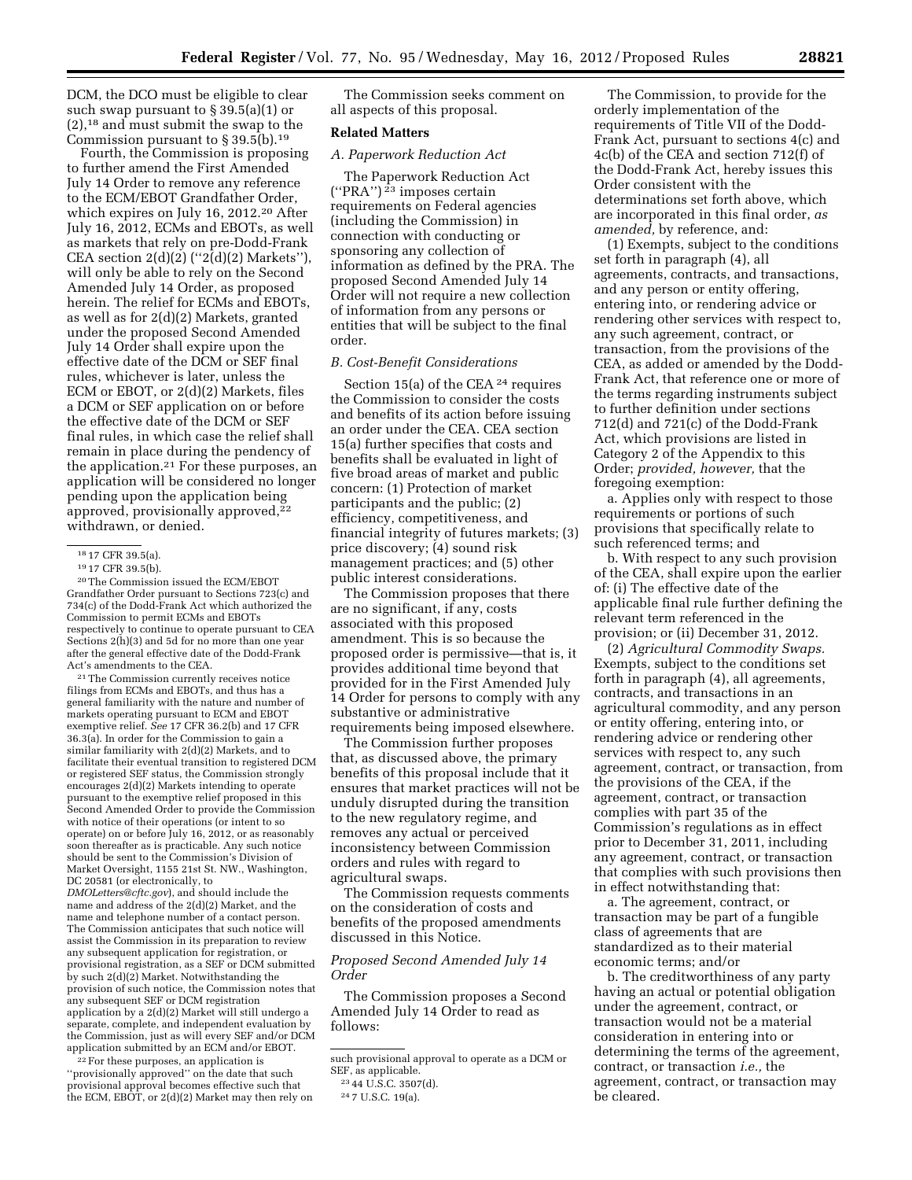DCM, the DCO must be eligible to clear such swap pursuant to § 39.5(a)(1) or (2),18 and must submit the swap to the Commission pursuant to  $\S 39.5(b).$ <sup>19</sup>

Fourth, the Commission is proposing to further amend the First Amended July 14 Order to remove any reference to the ECM/EBOT Grandfather Order, which expires on July 16, 2012.20 After July 16, 2012, ECMs and EBOTs, as well as markets that rely on pre-Dodd-Frank CEA section  $2(d)(2)$  (" $2(d)(2)$  Markets"), will only be able to rely on the Second Amended July 14 Order, as proposed herein. The relief for ECMs and EBOTs, as well as for 2(d)(2) Markets, granted under the proposed Second Amended July 14 Order shall expire upon the effective date of the DCM or SEF final rules, whichever is later, unless the ECM or EBOT, or 2(d)(2) Markets, files a DCM or SEF application on or before the effective date of the DCM or SEF final rules, in which case the relief shall remain in place during the pendency of the application.21 For these purposes, an application will be considered no longer pending upon the application being approved, provisionally approved,<sup>22</sup> withdrawn, or denied.

20The Commission issued the ECM/EBOT Grandfather Order pursuant to Sections 723(c) and 734(c) of the Dodd-Frank Act which authorized the Commission to permit ECMs and EBOTs respectively to continue to operate pursuant to CEA Sections 2(h)(3) and 5d for no more than one year after the general effective date of the Dodd-Frank Act's amendments to the CEA.

21The Commission currently receives notice filings from ECMs and EBOTs, and thus has a general familiarity with the nature and number of markets operating pursuant to ECM and EBOT exemptive relief. *See* 17 CFR 36.2(b) and 17 CFR 36.3(a). In order for the Commission to gain a similar familiarity with 2(d)(2) Markets, and to facilitate their eventual transition to registered DCM or registered SEF status, the Commission strongly encourages 2(d)(2) Markets intending to operate pursuant to the exemptive relief proposed in this Second Amended Order to provide the Commission with notice of their operations (or intent to so operate) on or before July 16, 2012, or as reasonably soon thereafter as is practicable. Any such notice should be sent to the Commission's Division of Market Oversight, 1155 21st St. NW., Washington, DC 20581 (or electronically, to

*[DMOLetters@cftc.gov](mailto:DMOLetters@cftc.gov)*), and should include the name and address of the 2(d)(2) Market, and the name and telephone number of a contact person. The Commission anticipates that such notice will assist the Commission in its preparation to review any subsequent application for registration, or provisional registration, as a SEF or DCM submitted by such 2(d)(2) Market. Notwithstanding the provision of such notice, the Commission notes that any subsequent SEF or DCM registration application by a 2(d)(2) Market will still undergo a separate, complete, and independent evaluation by the Commission, just as will every SEF and/or DCM application submitted by an ECM and/or EBOT.

22For these purposes, an application is ''provisionally approved'' on the date that such provisional approval becomes effective such that the ECM, EBOT, or  $2(d)(2)$  Market may then rely on

The Commission seeks comment on all aspects of this proposal.

## **Related Matters**

## *A. Paperwork Reduction Act*

The Paperwork Reduction Act  $('PRA'')<sup>23</sup>$  imposes certain requirements on Federal agencies (including the Commission) in connection with conducting or sponsoring any collection of information as defined by the PRA. The proposed Second Amended July 14 Order will not require a new collection of information from any persons or entities that will be subject to the final order.

#### *B. Cost-Benefit Considerations*

Section 15(a) of the CEA 24 requires the Commission to consider the costs and benefits of its action before issuing an order under the CEA. CEA section 15(a) further specifies that costs and benefits shall be evaluated in light of five broad areas of market and public concern: (1) Protection of market participants and the public; (2) efficiency, competitiveness, and financial integrity of futures markets; (3) price discovery; (4) sound risk management practices; and (5) other public interest considerations.

The Commission proposes that there are no significant, if any, costs associated with this proposed amendment. This is so because the proposed order is permissive—that is, it provides additional time beyond that provided for in the First Amended July 14 Order for persons to comply with any substantive or administrative requirements being imposed elsewhere.

The Commission further proposes that, as discussed above, the primary benefits of this proposal include that it ensures that market practices will not be unduly disrupted during the transition to the new regulatory regime, and removes any actual or perceived inconsistency between Commission orders and rules with regard to agricultural swaps.

The Commission requests comments on the consideration of costs and benefits of the proposed amendments discussed in this Notice.

## *Proposed Second Amended July 14 Order*

The Commission proposes a Second Amended July 14 Order to read as follows:

The Commission, to provide for the orderly implementation of the requirements of Title VII of the Dodd-Frank Act, pursuant to sections 4(c) and 4c(b) of the CEA and section 712(f) of the Dodd-Frank Act, hereby issues this Order consistent with the determinations set forth above, which are incorporated in this final order, *as amended,* by reference, and:

(1) Exempts, subject to the conditions set forth in paragraph (4), all agreements, contracts, and transactions, and any person or entity offering, entering into, or rendering advice or rendering other services with respect to, any such agreement, contract, or transaction, from the provisions of the CEA, as added or amended by the Dodd-Frank Act, that reference one or more of the terms regarding instruments subject to further definition under sections 712(d) and 721(c) of the Dodd-Frank Act, which provisions are listed in Category 2 of the Appendix to this Order; *provided, however,* that the foregoing exemption:

a. Applies only with respect to those requirements or portions of such provisions that specifically relate to such referenced terms; and

b. With respect to any such provision of the CEA, shall expire upon the earlier of: (i) The effective date of the applicable final rule further defining the relevant term referenced in the provision; or (ii) December 31, 2012.

(2) *Agricultural Commodity Swaps.*  Exempts, subject to the conditions set forth in paragraph (4), all agreements, contracts, and transactions in an agricultural commodity, and any person or entity offering, entering into, or rendering advice or rendering other services with respect to, any such agreement, contract, or transaction, from the provisions of the CEA, if the agreement, contract, or transaction complies with part 35 of the Commission's regulations as in effect prior to December 31, 2011, including any agreement, contract, or transaction that complies with such provisions then in effect notwithstanding that:

a. The agreement, contract, or transaction may be part of a fungible class of agreements that are standardized as to their material economic terms; and/or

b. The creditworthiness of any party having an actual or potential obligation under the agreement, contract, or transaction would not be a material consideration in entering into or determining the terms of the agreement, contract, or transaction *i.e.,* the agreement, contract, or transaction may be cleared.

<sup>18</sup> 17 CFR 39.5(a).

<sup>19</sup> 17 CFR 39.5(b).

such provisional approval to operate as a DCM or SEF, as applicable.

<sup>23</sup> 44 U.S.C. 3507(d).

<sup>24</sup> 7 U.S.C. 19(a).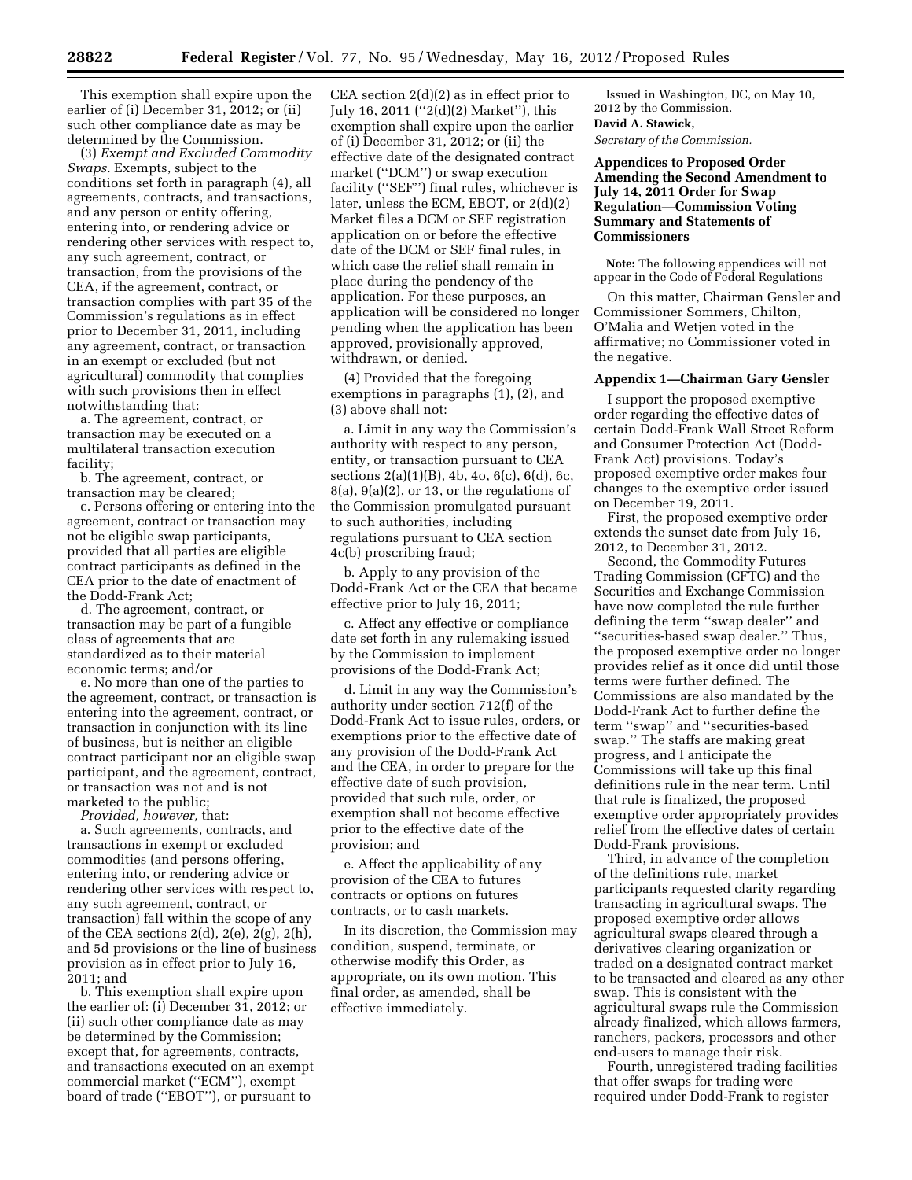This exemption shall expire upon the earlier of (i) December 31, 2012; or (ii) such other compliance date as may be determined by the Commission.

(3) *Exempt and Excluded Commodity Swaps.* Exempts, subject to the conditions set forth in paragraph (4), all agreements, contracts, and transactions, and any person or entity offering, entering into, or rendering advice or rendering other services with respect to, any such agreement, contract, or transaction, from the provisions of the CEA, if the agreement, contract, or transaction complies with part 35 of the Commission's regulations as in effect prior to December 31, 2011, including any agreement, contract, or transaction in an exempt or excluded (but not agricultural) commodity that complies with such provisions then in effect notwithstanding that:

a. The agreement, contract, or transaction may be executed on a multilateral transaction execution facility;

b. The agreement, contract, or transaction may be cleared;

c. Persons offering or entering into the agreement, contract or transaction may not be eligible swap participants, provided that all parties are eligible contract participants as defined in the CEA prior to the date of enactment of the Dodd-Frank Act;

d. The agreement, contract, or transaction may be part of a fungible class of agreements that are standardized as to their material economic terms; and/or

e. No more than one of the parties to the agreement, contract, or transaction is entering into the agreement, contract, or transaction in conjunction with its line of business, but is neither an eligible contract participant nor an eligible swap participant, and the agreement, contract, or transaction was not and is not marketed to the public;

*Provided, however,* that:

a. Such agreements, contracts, and transactions in exempt or excluded commodities (and persons offering, entering into, or rendering advice or rendering other services with respect to, any such agreement, contract, or transaction) fall within the scope of any of the CEA sections 2(d), 2(e), 2(g), 2(h), and 5d provisions or the line of business provision as in effect prior to July 16, 2011; and

b. This exemption shall expire upon the earlier of: (i) December 31, 2012; or (ii) such other compliance date as may be determined by the Commission; except that, for agreements, contracts, and transactions executed on an exempt commercial market (''ECM''), exempt board of trade (''EBOT''), or pursuant to

CEA section 2(d)(2) as in effect prior to July 16, 2011 (''2(d)(2) Market''), this exemption shall expire upon the earlier of (i) December 31, 2012; or (ii) the effective date of the designated contract market (''DCM'') or swap execution facility (''SEF'') final rules, whichever is later, unless the ECM, EBOT, or 2(d)(2) Market files a DCM or SEF registration application on or before the effective date of the DCM or SEF final rules, in which case the relief shall remain in place during the pendency of the application. For these purposes, an application will be considered no longer pending when the application has been approved, provisionally approved, withdrawn, or denied.

(4) Provided that the foregoing exemptions in paragraphs (1), (2), and (3) above shall not:

a. Limit in any way the Commission's authority with respect to any person, entity, or transaction pursuant to CEA sections 2(a)(1)(B), 4b, 4o, 6(c), 6(d), 6c, 8(a), 9(a)(2), or 13, or the regulations of the Commission promulgated pursuant to such authorities, including regulations pursuant to CEA section 4c(b) proscribing fraud;

b. Apply to any provision of the Dodd-Frank Act or the CEA that became effective prior to July 16, 2011;

c. Affect any effective or compliance date set forth in any rulemaking issued by the Commission to implement provisions of the Dodd-Frank Act;

d. Limit in any way the Commission's authority under section 712(f) of the Dodd-Frank Act to issue rules, orders, or exemptions prior to the effective date of any provision of the Dodd-Frank Act and the CEA, in order to prepare for the effective date of such provision, provided that such rule, order, or exemption shall not become effective prior to the effective date of the provision; and

e. Affect the applicability of any provision of the CEA to futures contracts or options on futures contracts, or to cash markets.

In its discretion, the Commission may condition, suspend, terminate, or otherwise modify this Order, as appropriate, on its own motion. This final order, as amended, shall be effective immediately.

Issued in Washington, DC, on May 10, 2012 by the Commission. **David A. Stawick,**  *Secretary of the Commission.* 

**Appendices to Proposed Order Amending the Second Amendment to July 14, 2011 Order for Swap Regulation—Commission Voting Summary and Statements of Commissioners** 

**Note:** The following appendices will not appear in the Code of Federal Regulations

On this matter, Chairman Gensler and Commissioner Sommers, Chilton, O'Malia and Wetjen voted in the affirmative; no Commissioner voted in the negative.

#### **Appendix 1—Chairman Gary Gensler**

I support the proposed exemptive order regarding the effective dates of certain Dodd-Frank Wall Street Reform and Consumer Protection Act (Dodd-Frank Act) provisions. Today's proposed exemptive order makes four changes to the exemptive order issued on December 19, 2011.

First, the proposed exemptive order extends the sunset date from July 16, 2012, to December 31, 2012.

Second, the Commodity Futures Trading Commission (CFTC) and the Securities and Exchange Commission have now completed the rule further defining the term ''swap dealer'' and ''securities-based swap dealer.'' Thus, the proposed exemptive order no longer provides relief as it once did until those terms were further defined. The Commissions are also mandated by the Dodd-Frank Act to further define the term ''swap'' and ''securities-based swap.'' The staffs are making great progress, and I anticipate the Commissions will take up this final definitions rule in the near term. Until that rule is finalized, the proposed exemptive order appropriately provides relief from the effective dates of certain Dodd-Frank provisions.

Third, in advance of the completion of the definitions rule, market participants requested clarity regarding transacting in agricultural swaps. The proposed exemptive order allows agricultural swaps cleared through a derivatives clearing organization or traded on a designated contract market to be transacted and cleared as any other swap. This is consistent with the agricultural swaps rule the Commission already finalized, which allows farmers, ranchers, packers, processors and other end-users to manage their risk.

Fourth, unregistered trading facilities that offer swaps for trading were required under Dodd-Frank to register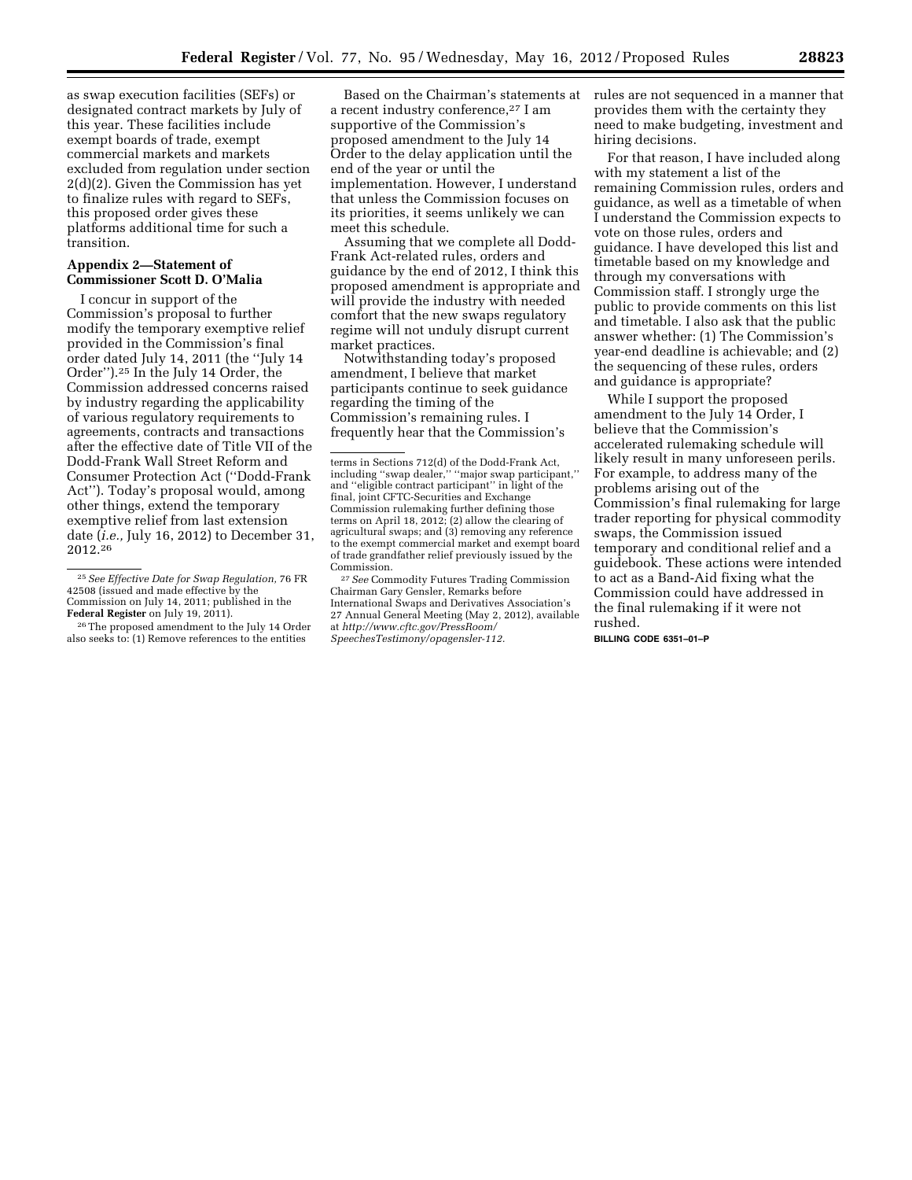as swap execution facilities (SEFs) or designated contract markets by July of this year. These facilities include exempt boards of trade, exempt commercial markets and markets excluded from regulation under section 2(d)(2). Given the Commission has yet to finalize rules with regard to SEFs, this proposed order gives these platforms additional time for such a transition.

## **Appendix 2—Statement of Commissioner Scott D. O'Malia**

I concur in support of the Commission's proposal to further modify the temporary exemptive relief provided in the Commission's final order dated July 14, 2011 (the ''July 14 Order'').25 In the July 14 Order, the Commission addressed concerns raised by industry regarding the applicability of various regulatory requirements to agreements, contracts and transactions after the effective date of Title VII of the Dodd-Frank Wall Street Reform and Consumer Protection Act (''Dodd-Frank Act''). Today's proposal would, among other things, extend the temporary exemptive relief from last extension date (*i.e.,* July 16, 2012) to December 31, 2012.26

Based on the Chairman's statements at a recent industry conference,27 I am supportive of the Commission's proposed amendment to the July 14 Order to the delay application until the end of the year or until the implementation. However, I understand that unless the Commission focuses on its priorities, it seems unlikely we can meet this schedule.

Assuming that we complete all Dodd-Frank Act-related rules, orders and guidance by the end of 2012, I think this proposed amendment is appropriate and will provide the industry with needed comfort that the new swaps regulatory regime will not unduly disrupt current market practices.

Notwithstanding today's proposed amendment, I believe that market participants continue to seek guidance regarding the timing of the Commission's remaining rules. I frequently hear that the Commission's

27*See* Commodity Futures Trading Commission Chairman Gary Gensler, Remarks before International Swaps and Derivatives Association's 27 Annual General Meeting (May 2, 2012), available at *[http://www.cftc.gov/PressRoom/](http://www.cftc.gov/PressRoom/SpeechesTestimony/opagensler-112)  [SpeechesTestimony/opagensler-112.](http://www.cftc.gov/PressRoom/SpeechesTestimony/opagensler-112)* 

rules are not sequenced in a manner that provides them with the certainty they need to make budgeting, investment and hiring decisions.

For that reason, I have included along with my statement a list of the remaining Commission rules, orders and guidance, as well as a timetable of when I understand the Commission expects to vote on those rules, orders and guidance. I have developed this list and timetable based on my knowledge and through my conversations with Commission staff. I strongly urge the public to provide comments on this list and timetable. I also ask that the public answer whether: (1) The Commission's year-end deadline is achievable; and (2) the sequencing of these rules, orders and guidance is appropriate?

While I support the proposed amendment to the July 14 Order, I believe that the Commission's accelerated rulemaking schedule will likely result in many unforeseen perils. For example, to address many of the problems arising out of the Commission's final rulemaking for large trader reporting for physical commodity swaps, the Commission issued temporary and conditional relief and a guidebook. These actions were intended to act as a Band-Aid fixing what the Commission could have addressed in the final rulemaking if it were not rushed.

**BILLING CODE 6351–01–P** 

<sup>25</sup>*See Effective Date for Swap Regulation,* 76 FR 42508 (issued and made effective by the Commission on July 14, 2011; published in the **Federal Register** on July 19, 2011).

<sup>&</sup>lt;sup>26</sup> The proposed amendment to the July 14 Order also seeks to: (1) Remove references to the entities

terms in Sections 712(d) of the Dodd-Frank Act, including ''swap dealer,'' ''major swap participant,'' and ''eligible contract participant'' in light of the final, joint CFTC-Securities and Exchange Commission rulemaking further defining those terms on April 18, 2012; (2) allow the clearing of agricultural swaps; and (3) removing any reference to the exempt commercial market and exempt board of trade grandfather relief previously issued by the Commission.